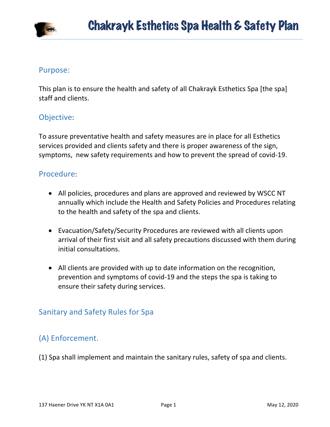

#### Purpose:

This plan is to ensure the health and safety of all Chakrayk Esthetics Spa [the spa] staff and clients.

### Objective:

To assure preventative health and safety measures are in place for all Esthetics services provided and clients safety and there is proper awareness of the sign, symptoms, new safety requirements and how to prevent the spread of covid-19.

### Procedure:

- All policies, procedures and plans are approved and reviewed by WSCC NT annually which include the Health and Safety Policies and Procedures relating to the health and safety of the spa and clients.
- Evacuation/Safety/Security Procedures are reviewed with all clients upon arrival of their first visit and all safety precautions discussed with them during initial consultations.
- All clients are provided with up to date information on the recognition, prevention and symptoms of covid-19 and the steps the spa is taking to ensure their safety during services.

## Sanitary and Safety Rules for Spa

## (A) Enforcement.

(1) Spa shall implement and maintain the sanitary rules, safety of spa and clients.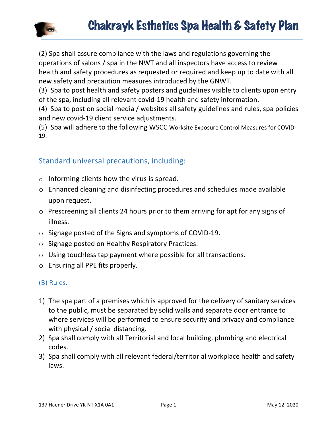

(2) Spa shall assure compliance with the laws and regulations governing the operations of salons / spa in the NWT and all inspectors have access to review health and safety procedures as requested or required and keep up to date with all new safety and precaution measures introduced by the GNWT.

(3) Spa to post health and safety posters and guidelines visible to clients upon entry of the spa, including all relevant covid-19 health and safety information.

(4) Spa to post on social media / websites all safety guidelines and rules, spa policies and new covid-19 client service adjustments.

(5) Spa will adhere to the following WSCC Worksite Exposure Control Measures for COVID-19.

## Standard universal precautions, including:

- $\circ$  Informing clients how the virus is spread.
- $\circ$  Enhanced cleaning and disinfecting procedures and schedules made available upon request.
- $\circ$  Prescreening all clients 24 hours prior to them arriving for apt for any signs of illness.
- $\circ$  Signage posted of the Signs and symptoms of COVID-19.
- o Signage posted on Healthy Respiratory Practices.
- $\circ$  Using touchless tap payment where possible for all transactions.
- $\circ$  Ensuring all PPE fits properly.

### (B) Rules.

- 1) The spa part of a premises which is approved for the delivery of sanitary services to the public, must be separated by solid walls and separate door entrance to where services will be performed to ensure security and privacy and compliance with physical / social distancing.
- 2) Spa shall comply with all Territorial and local building, plumbing and electrical codes.
- 3) Spa shall comply with all relevant federal/territorial workplace health and safety laws.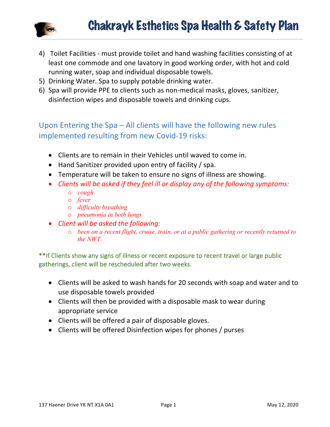

- 4) Toilet Facilities must provide toilet and hand washing facilities consisting of at least one commode and one lavatory in good working order, with hot and cold running water, soap and individual disposable towels.
- 5) Drinking Water. Spa to supply potable drinking water.
- 6) Spa will provide PPE to clients such as non-medical masks, gloves, sanitizer, disinfection wipes and disposable towels and drinking cups.

# Upon Entering the  $Spa - All$  clients will have the following new rules implemented resulting from new Covid-19 risks:

- Clients are to remain in their Vehicles until waved to come in.
- $\bullet$  Hand Sanitizer provided upon entry of facility / spa.
- Temperature will be taken to ensure no signs of illness are showing.
- Clients will be asked if they feel ill or display any of the following symptoms:
	- o *cough*
	- o *fever*
	- o *difficulty breathing*
	- o *pneumonia in both lungs*
- *Client will be asked the following:* 
	- o *been on a recent flight, cruise, train, or at a public gathering or recently returned to the NWT.*

\*\*If Clients show any signs of illness or recent exposure to recent travel or large public gatherings, client will be rescheduled after two weeks.

- Clients will be asked to wash hands for 20 seconds with soap and water and to use disposable towels provided
- Clients will then be provided with a disposable mask to wear during appropriate service
- Clients will be offered a pair of disposable gloves.
- Clients will be offered Disinfection wipes for phones / purses